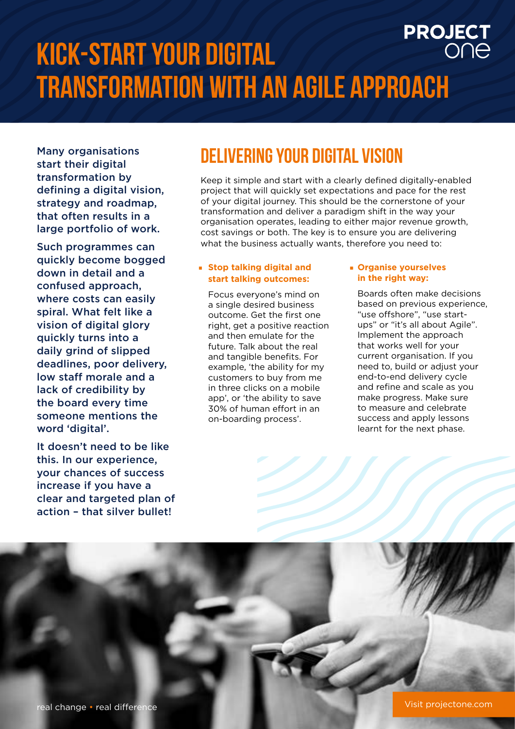## **PROJECT Kick-start your digital transformation with an agile approach**

Many organisations start their digital transformation by defining a digital vision, strategy and roadmap, that often results in a large portfolio of work.

Such programmes can quickly become bogged down in detail and a confused approach, where costs can easily spiral. What felt like a vision of digital glory quickly turns into a daily grind of slipped deadlines, poor delivery, low staff morale and a lack of credibility by the board every time someone mentions the word 'digital'.

It doesn't need to be like this. In our experience, your chances of success increase if you have a clear and targeted plan of action – that silver bullet!

#### **delivering your digital vision**

Keep it simple and start with a clearly defined digitally-enabled project that will quickly set expectations and pace for the rest of your digital journey. This should be the cornerstone of your transformation and deliver a paradigm shift in the way your organisation operates, leading to either major revenue growth, cost savings or both. The key is to ensure you are delivering what the business actually wants, therefore you need to:

#### **Stop talking digital and start talking outcomes:**

Focus everyone's mind on a single desired business outcome. Get the first one right, get a positive reaction and then emulate for the future. Talk about the real and tangible benefits. For example, 'the ability for my customers to buy from me in three clicks on a mobile app', or 'the ability to save 30% of human effort in an on-boarding process'.

#### **Organise yourselves in the right way:**

Boards often make decisions based on previous experience, "use offshore", "use startups" or "it's all about Agile". Implement the approach that works well for your current organisation. If you need to, build or adjust your end-to-end delivery cycle and refine and scale as you make progress. Make sure to measure and celebrate success and apply lessons learnt for the next phase.

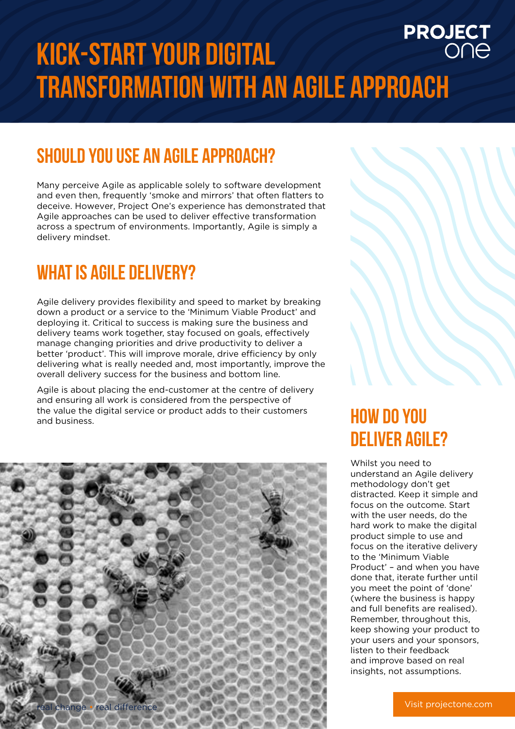# **PROJECT**<br>ONE **Kick-start your digital transformation with an agile approach**

## **should you use an agile approach?**

Many perceive Agile as applicable solely to software development and even then, frequently 'smoke and mirrors' that often flatters to deceive. However, Project One's experience has demonstrated that Agile approaches can be used to deliver effective transformation across a spectrum of environments. Importantly, Agile is simply a delivery mindset.

### **what is agile delivery?**

Agile delivery provides flexibility and speed to market by breaking down a product or a service to the 'Minimum Viable Product' and deploying it. Critical to success is making sure the business and delivery teams work together, stay focused on goals, effectively manage changing priorities and drive productivity to deliver a better 'product'. This will improve morale, drive efficiency by only delivering what is really needed and, most importantly, improve the overall delivery success for the business and bottom line.

Agile is about placing the end-customer at the centre of delivery and ensuring all work is considered from the perspective of the value the digital service or product adds to their customers and business.



## **HOW DO YOU DELIVER AGILE?**

Whilst you need to understand an Agile delivery methodology don't get distracted. Keep it simple and focus on the outcome. Start with the user needs, do the hard work to make the digital product simple to use and focus on the iterative delivery to the 'Minimum Viable Product' – and when you have done that, iterate further until you meet the point of 'done' (where the business is happy and full benefits are realised). Remember, throughout this, keep showing your product to your users and your sponsors, listen to their feedback and improve based on real insights, not assumptions.